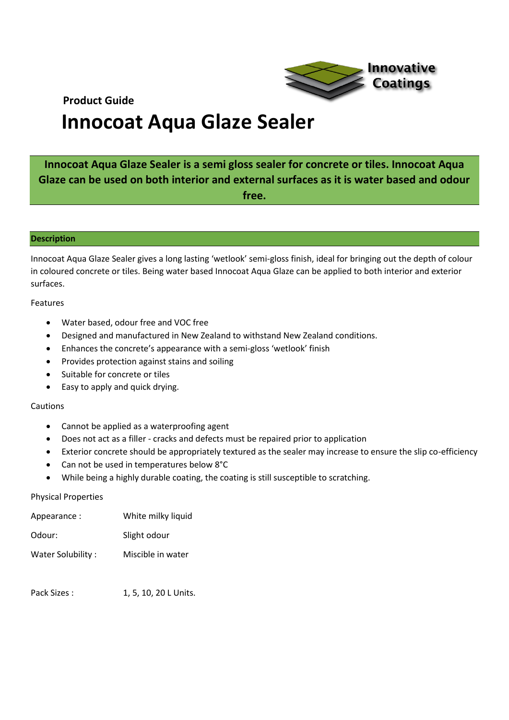

## **Innocoat Aqua Glaze Sealer**

## **Innocoat Aqua Glaze Sealer is a semi gloss sealer for concrete or tiles. Innocoat Aqua Glaze can be used on both interior and external surfaces as it is water based and odour free.**

#### **Description**

Innocoat Aqua Glaze Sealer gives a long lasting 'wetlook' semi-gloss finish, ideal for bringing out the depth of colour in coloured concrete or tiles. Being water based Innocoat Aqua Glaze can be applied to both interior and exterior surfaces.

Features

- Water based, odour free and VOC free
- Designed and manufactured in New Zealand to withstand New Zealand conditions.
- Enhances the concrete's appearance with a semi-gloss 'wetlook' finish
- Provides protection against stains and soiling
- Suitable for concrete or tiles
- Easy to apply and quick drying.

### Cautions

- Cannot be applied as a waterproofing agent
- Does not act as a filler cracks and defects must be repaired prior to application
- Exterior concrete should be appropriately textured as the sealer may increase to ensure the slip co-efficiency
- Can not be used in temperatures below 8°C
- While being a highly durable coating, the coating is still susceptible to scratching.

#### Physical Properties

| Appearance :      | White milky liquid |
|-------------------|--------------------|
| Odour:            | Slight odour       |
| Water Solubility: | Miscible in water  |

Pack Sizes : 1, 5, 10, 20 L Units.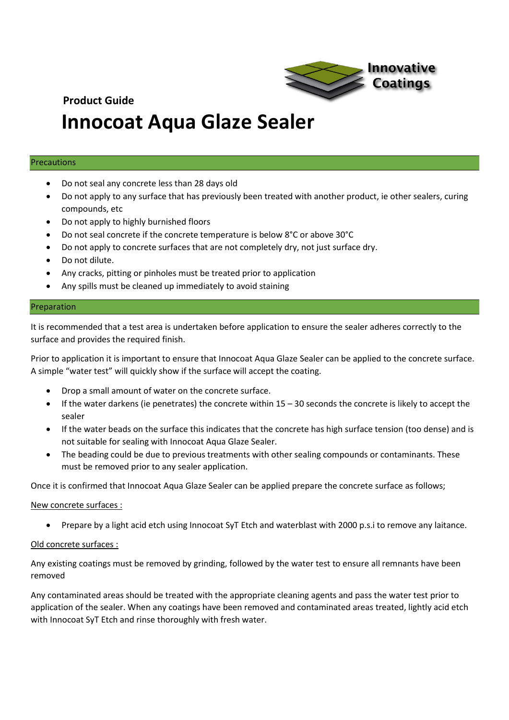

## **Innocoat Aqua Glaze Sealer**

### Precautions

- Do not seal any concrete less than 28 days old
- Do not apply to any surface that has previously been treated with another product, ie other sealers, curing compounds, etc
- Do not apply to highly burnished floors
- Do not seal concrete if the concrete temperature is below 8°C or above 30°C
- Do not apply to concrete surfaces that are not completely dry, not just surface dry.
- Do not dilute.
- Any cracks, pitting or pinholes must be treated prior to application
- Any spills must be cleaned up immediately to avoid staining

### Preparation

It is recommended that a test area is undertaken before application to ensure the sealer adheres correctly to the surface and provides the required finish.

Prior to application it is important to ensure that Innocoat Aqua Glaze Sealer can be applied to the concrete surface. A simple "water test" will quickly show if the surface will accept the coating.

- Drop a small amount of water on the concrete surface.
- If the water darkens (ie penetrates) the concrete within  $15 30$  seconds the concrete is likely to accept the sealer
- If the water beads on the surface this indicates that the concrete has high surface tension (too dense) and is not suitable for sealing with Innocoat Aqua Glaze Sealer.
- The beading could be due to previous treatments with other sealing compounds or contaminants. These must be removed prior to any sealer application.

Once it is confirmed that Innocoat Aqua Glaze Sealer can be applied prepare the concrete surface as follows;

## New concrete surfaces :

• Prepare by a light acid etch using Innocoat SyT Etch and waterblast with 2000 p.s.i to remove any laitance.

## Old concrete surfaces :

Any existing coatings must be removed by grinding, followed by the water test to ensure all remnants have been removed

Any contaminated areas should be treated with the appropriate cleaning agents and pass the water test prior to application of the sealer. When any coatings have been removed and contaminated areas treated, lightly acid etch with Innocoat SyT Etch and rinse thoroughly with fresh water.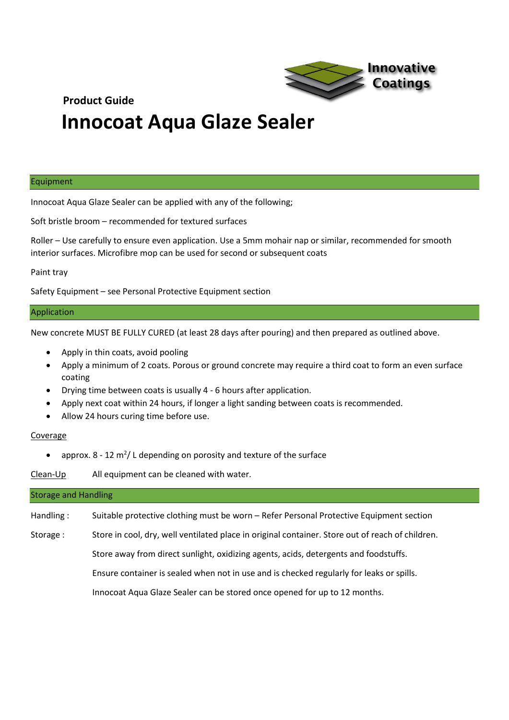

## **Innocoat Aqua Glaze Sealer**

#### Equipment

Innocoat Aqua Glaze Sealer can be applied with any of the following;

Soft bristle broom – recommended for textured surfaces

Roller – Use carefully to ensure even application. Use a 5mm mohair nap or similar, recommended for smooth interior surfaces. Microfibre mop can be used for second or subsequent coats

Paint tray

Safety Equipment – see Personal Protective Equipment section

#### Application

New concrete MUST BE FULLY CURED (at least 28 days after pouring) and then prepared as outlined above.

- Apply in thin coats, avoid pooling
- Apply a minimum of 2 coats. Porous or ground concrete may require a third coat to form an even surface coating
- Drying time between coats is usually 4 6 hours after application.
- Apply next coat within 24 hours, if longer a light sanding between coats is recommended.
- Allow 24 hours curing time before use.

#### Coverage

• approx.  $8 - 12$  m<sup>2</sup>/ L depending on porosity and texture of the surface

Clean-Up All equipment can be cleaned with water.

#### Storage and Handling

Handling : Suitable protective clothing must be worn – Refer Personal Protective Equipment section

Storage : Store in cool, dry, well ventilated place in original container. Store out of reach of children.

Store away from direct sunlight, oxidizing agents, acids, detergents and foodstuffs.

Ensure container is sealed when not in use and is checked regularly for leaks or spills.

Innocoat Aqua Glaze Sealer can be stored once opened for up to 12 months.